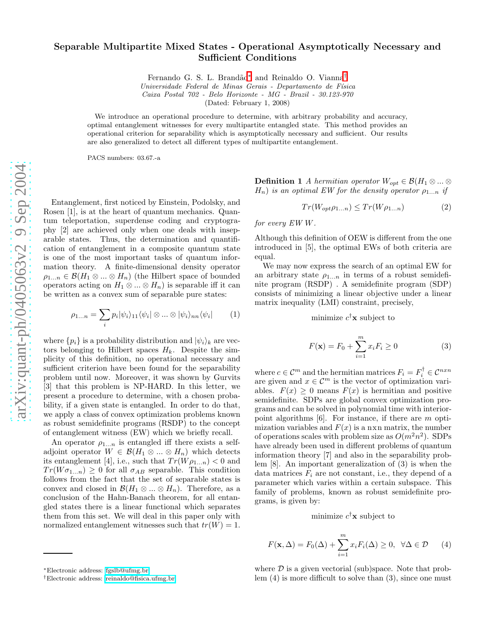## Separable Multipartite Mixed States - Operational Asymptotically Necessary and Sufficient Conditions

Fernando G. S. L. Brandão<sup>[∗](#page-0-0)</sup> and Reinaldo O. Vianna<sup>[†](#page-0-1)</sup>

*Universidade Federal de Minas Gerais - Departamento de F´ısica*

*Caixa Postal 702 - Belo Horizonte - MG - Brazil - 30.123-970*

(Dated: February 1, 2008)

We introduce an operational procedure to determine, with arbitrary probability and accuracy, optimal entanglement witnesses for every multipartite entangled state. This method provides an operational criterion for separability which is asymptotically necessary and sufficient. Our results are also generalized to detect all different types of multipartite entanglement.

PACS numbers: 03.67.-a

Entanglement, first noticed by Einstein, Podolsky, and Rosen [1], is at the heart of quantum mechanics. Quantum teleportation, superdense coding and cryptography [2] are achieved only when one deals with inseparable states. Thus, the determination and quantification of entanglement in a composite quantum state is one of the most important tasks of quantum information theory. A finite-dimensional density operator  $\rho_{1...n} \in \mathcal{B}(H_1 \otimes ... \otimes H_n)$  (the Hilbert space of bounded operators acting on  $H_1 \otimes ... \otimes H_n$ ) is separable iff it can be written as a convex sum of separable pure states:

$$
\rho_{1...n} = \sum_{i} p_i |\psi_i\rangle_{11} \langle \psi_i | \otimes ... \otimes |\psi_i\rangle_{nn} \langle \psi_i |
$$
 (1)

where  $\{p_i\}$  is a probability distribution and  $|\psi_i\rangle_k$  are vectors belonging to Hilbert spaces  $H_k$ . Despite the simplicity of this definition, no operational necessary and sufficient criterion have been found for the separability problem until now. Moreover, it was shown by Gurvits [3] that this problem is NP-HARD. In this letter, we present a procedure to determine, with a chosen probability, if a given state is entangled. In order to do that, we apply a class of convex optimization problems known as robust semidefinite programs (RSDP) to the concept of entanglement witness (EW) which we briefly recall.

An operator  $\rho_{1...n}$  is entangled iff there exists a selfadjoint operator  $W \in \mathcal{B}(H_1 \otimes ... \otimes H_n)$  which detects its entanglement [4], i.e., such that  $Tr(W\rho_{1...n}) < 0$  and  $Tr(W\sigma_{1...n}) \geq 0$  for all  $\sigma_{AB}$  separable. This condition follows from the fact that the set of separable states is convex and closed in  $\mathcal{B}(H_1 \otimes ... \otimes H_n)$ . Therefore, as a conclusion of the Hahn-Banach theorem, for all entangled states there is a linear functional which separates them from this set. We will deal in this paper only with normalized entanglement witnesses such that  $tr(W) = 1$ .

**Definition 1** *A hermitian operator*  $W_{opt} \in \mathcal{B}(H_1 \otimes ... \otimes$  $H_n$ ) *is an optimal EW for the density operator*  $\rho_{1...n}$  *if* 

$$
Tr(W_{opt}\rho_{1...n}) \le Tr(W\rho_{1...n})
$$
\n(2)

*for every EW* W *.*

Although this definition of OEW is different from the one introduced in [5], the optimal EWs of both criteria are equal.

We may now express the search of an optimal EW for an arbitrary state  $\rho_{1...n}$  in terms of a robust semidefinite program (RSDP) . A semidefinite program (SDP) consists of minimizing a linear objective under a linear matrix inequality (LMI) constraint, precisely,

minimize  $c^{\dagger}$ **x** subject to

$$
F(\mathbf{x}) = F_0 + \sum_{i=1}^{m} x_i F_i \ge 0
$$
 (3)

where  $c \in \mathcal{C}^m$  and the hermitian matrices  $F_i = F_i^{\dagger} \in \mathcal{C}^{n x n}$ are given and  $x \in \mathcal{C}^m$  is the vector of optimization variables.  $F(x) \geq 0$  means  $F(x)$  is hermitian and positive semidefinite. SDPs are global convex optimization programs and can be solved in polynomial time with interiorpoint algorithms [6]. For instance, if there are m optimization variables and  $F(x)$  is a nxn matrix, the number of operations scales with problem size as  $O(m^2n^2)$ . SDPs have already been used in different problems of quantum information theory [7] and also in the separability problem [8]. An important generalization of (3) is when the data matrices  $F_i$  are not constant, i.e., they depend of a parameter which varies within a certain subspace. This family of problems, known as robust semidefinite programs, is given by:

minimize  $c^{\dagger}$ **x** subject to

$$
F(\mathbf{x}, \Delta) = F_0(\Delta) + \sum_{i=1}^{m} x_i F_i(\Delta) \ge 0, \ \forall \Delta \in \mathcal{D} \qquad (4)
$$

where  $D$  is a given vectorial (sub)space. Note that problem (4) is more difficult to solve than (3), since one must

<span id="page-0-0"></span><sup>∗</sup>Electronic address: [fgslb@ufmg.br](mailto:fgslb@ufmg.br)

<span id="page-0-1"></span><sup>†</sup>Electronic address: [reinaldo@fisica.ufmg.br](mailto:reinaldo@fisica.ufmg.br)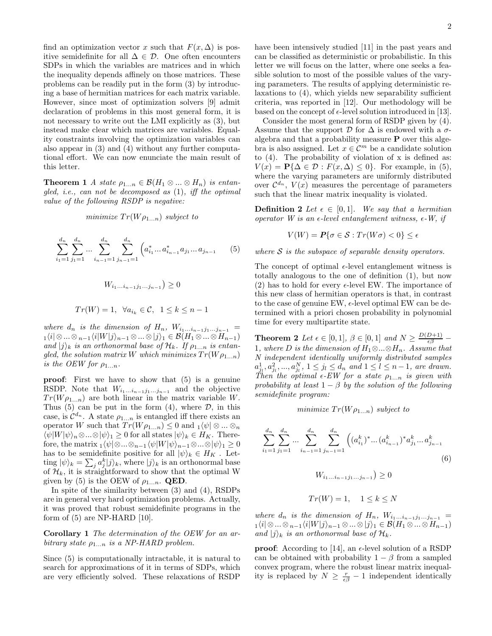find an optimization vector x such that  $F(x, \Delta)$  is positive semidefinite for all  $\Delta \in \mathcal{D}$ . One often encounters SDPs in which the variables are matrices and in which the inequality depends affinely on those matrices. These problems can be readily put in the form (3) by introducing a base of hermitian matrices for each matrix variable. However, since most of optimization solvers [9] admit declaration of problems in this most general form, it is not necessary to write out the LMI explicitly as (3), but instead make clear which matrices are variables. Equality constraints involving the optimization variables can also appear in (3) and (4) without any further computational effort. We can now enunciate the main result of this letter.

**Theorem 1** *A state*  $\rho_{1...n} \in \mathcal{B}(H_1 \otimes ... \otimes H_n)$  *is entangled, i.e., can not be decomposed as* (1)*, iff the optimal value of the following RSDP is negative:*

$$
minimize Tr(W\rho_{1...n}) subject to
$$

$$
\sum_{i_1=1}^{d_n} \sum_{j_1=1}^{d_n} \dots \sum_{i_{n-1}=1}^{d_n} \sum_{j_{n-1}=1}^{d_n} \left( a_{i_1}^* \dots a_{i_{n-1}}^* a_{j_1} \dots a_{j_{n-1}} \right) \tag{5}
$$

$$
W_{i_1\ldots i_{n-1}j_1\ldots j_{n-1}}\bigr)\geq 0
$$

$$
Tr(W) = 1, \ \ \forall a_{i_k} \in \mathcal{C}, \ \ 1 \leq k \leq n-1
$$

*where*  $d_n$  *is the dimension of*  $H_n$ ,  $W_{i_1...i_{n-1}j_1...j_{n-1}} =$  $1\langle i|\otimes...\otimes_{n-1}\langle i|W|j\rangle_{n-1}\otimes...\otimes|j\rangle_1 \in \mathcal{B}(H_1\otimes...\otimes H_{n-1})$ and  $|j\rangle_k$  *is an orthonormal base of*  $\mathcal{H}_k$ . If  $\rho_{1...n}$  *is entangled, the solution matrix* W *which minimizes*  $Tr(W\rho_{1...n})$ *is the OEW for*  $\rho_{1...n}$ *.* 

proof: First we have to show that (5) is a genuine RSDP. Note that  $W_{i_1...i_{n-1}j_1...j_{n-1}}$  and the objective  $Tr(W\rho_{1...n})$  are both linear in the matrix variable W. Thus (5) can be put in the form (4), where  $\mathcal{D}$ , in this case, is  $\mathcal{C}^{d_n}$ . A state  $\rho_{1...n}$  is entangled iff there exists an operator W such that  $Tr(W\rho_{1...n}) \leq 0$  and  $\mathbb{1}\langle \psi | \otimes ... \otimes \mathbb{1}\rangle$  $\langle \psi | W | \psi \rangle_n \otimes ... \otimes |\psi \rangle_1 \geq 0$  for all states  $|\psi \rangle_k \in H_K$ . Therefore, the matrix  $_1\langle \psi | \otimes ... \otimes_{n-1}\langle \psi | W | \psi \rangle_{n-1} \otimes ... \otimes |\psi \rangle_1 \geq 0$ has to be semidefinite positive for all  $|\psi\rangle_k \in H_K$ . Letting  $|\psi\rangle_k = \sum_j a_j^k |j\rangle_k$ , where  $|j\rangle_k$  is an orthonormal base of  $\mathcal{H}_k$ , it is straightforward to show that the optimal W given by (5) is the OEW of  $\rho_{1...n}$ . QED.

In spite of the similarity between (3) and (4), RSDPs are in general very hard optimization problems. Actually, it was proved that robust semidefinite programs in the form of  $(5)$  are NP-HARD  $[10]$ .

Corollary 1 *The determination of the OEW for an arbitrary state*  $\rho_{1...n}$  *is a NP-HARD problem.* 

Since (5) is computationally intractable, it is natural to search for approximations of it in terms of SDPs, which are very efficiently solved. These relaxations of RSDP

have been intensively studied [11] in the past years and can be classified as deterministic or probabilistic. In this letter we will focus on the latter, where one seeks a feasible solution to most of the possible values of the varying parameters. The results of applying deterministic relaxations to (4), which yields new separability sufficient criteria, was reported in [12]. Our methodology will be based on the concept of  $\epsilon$ -level solution introduced in [13].

Consider the most general form of RSDP given by (4). Assume that the support  $\mathcal D$  for  $\Delta$  is endowed with a  $\sigma$ algebra and that a probability measure P over this algebra is also assigned. Let  $x \in \mathcal{C}^m$  be a candidate solution to (4). The probability of violation of x is defined as:  $V(x) = P\{\Delta \in \mathcal{D} : F(x, \Delta) \leq 0\}$ . For example, in (5), where the varying parameters are uniformly distributed over  $\mathcal{C}^{d_n}$ ,  $V(x)$  measures the percentage of parameters such that the linear matrix inequality is violated.

**Definition 2** Let  $\epsilon \in [0, 1]$ . We say that a hermitian *operator W* is an  $\epsilon$ -level entanglement witness,  $\epsilon$ -*W, if* 

$$
V(W) = \mathbf{P}\{\sigma \in \mathcal{S} : Tr(W\sigma) < 0\} \le \epsilon
$$

*where* S *is the subspace of separable density operators.*

The concept of optimal  $\epsilon$ -level entanglement witness is totally analogous to the one of definition (1), but now (2) has to hold for every  $\epsilon$ -level EW. The importance of this new class of hermitian operators is that, in contrast to the case of genuine EW,  $\epsilon$ -level optimal EW can be determined with a priori chosen probability in polynomial time for every multipartite state.

**Theorem 2** Let  $\epsilon \in [0,1], \beta \in [0,1]$  and  $N \geq \frac{D(D+1)}{\epsilon \beta}$ 1*, where*  $D$  *is the dimension of*  $H_1 \otimes ... \otimes H_n$ *. Assume that N independent identically uniformly distributed samples*  $a_{j_l}^1, a_{j_l}^2, ..., a_{j_l}^N, 1 \leq j_l \leq d_n$  and  $1 \leq l \leq n-1$ , are drawn.  $\overline{\text{Then}}$  the optimal  $\epsilon$ -EW for a state  $\rho_{1...n}$  is given with *probability at least* 1 − β *by the solution of the following semidefinite program:*

*minimize*  $Tr(W\rho_{1...n})$  *subject to* 

$$
\sum_{i_1=1}^{d_n} \sum_{j_1=1}^{d_n} \dots \sum_{i_{n-1}=1}^{d_n} \sum_{j_{n-1}=1}^{d_n} \left( (a_{i_1}^k)^* \dots (a_{i_{n-1}}^k)^* a_{j_1}^k \dots a_{j_{n-1}}^k \right)
$$
  

$$
W_{i_1 \dots i_{n-1} j_1 \dots j_{n-1}} \right) \ge 0
$$
 (6)

 $Tr(W) = 1, \quad 1 \leq k \leq N$ 

*where*  $d_n$  *is the dimension of*  $H_n$ ,  $W_{i_1...i_{n-1}j_1...j_{n-1}} =$  $_1\langle i|\otimes...\otimes_{n-1}\langle i|W|j\rangle_{n-1}\otimes...\otimes|j\rangle_1 \in \mathcal{B}(H_1\otimes...\otimes H_{n-1})$ and  $|j\rangle_k$  *is an orthonormal base of*  $\mathcal{H}_k$ .

**proof:** According to [14], an  $\epsilon$ -level solution of a RSDP can be obtained with probability  $1 - \beta$  from a sampled convex program, where the robust linear matrix inequality is replaced by  $N \geq \frac{r}{\epsilon \beta} - 1$  independent identically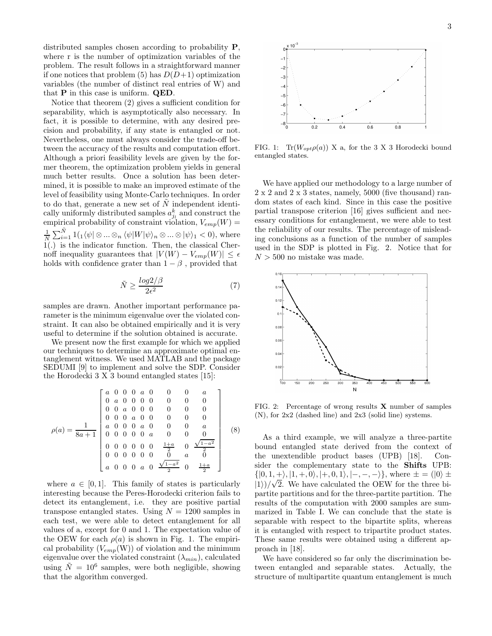distributed samples chosen according to probability P, where r is the number of optimization variables of the problem. The result follows in a straightforward manner if one notices that problem (5) has  $D(D+1)$  optimization variables (the number of distinct real entries of W) and that P in this case is uniform. QED.

Notice that theorem (2) gives a sufficient condition for separability, which is asymptotically also necessary. In fact, it is possible to determine, with any desired precision and probability, if any state is entangled or not. Nevertheless, one must always consider the trade-off between the accuracy of the results and computation effort. Although a priori feasibility levels are given by the former theorem, the optimization problem yields in general much better results. Once a solution has been determined, it is possible to make an improved estimate of the level of feasibility using Monte-Carlo techniques. In order to do that, generate a new set of  $N$  independent identically uniformly distributed samples  $a_{j_l}^k$  and construct the empirical probability of constraint violation,  $V_{emp}(W) =$  $\frac{1}{N}\sum_{i=1}^{\tilde{N}}1_{(1}\langle\psi|\otimes...\otimes_{n}\langle\psi|W|\psi\rangle_{n}\otimes...\otimes|\psi\rangle_{1}<0),$  where 1(.) is the indicator function. Then, the classical Chernoff inequality guarantees that  $|V(W) - V_{emp}(W)| \leq \epsilon$ holds with confidence grater than  $1 - \beta$ , provided that

$$
\tilde{N} \ge \frac{\log 2/\beta}{2\epsilon^2} \tag{7}
$$

samples are drawn. Another important performance parameter is the minimum eigenvalue over the violated constraint. It can also be obtained empirically and it is very useful to determine if the solution obtained is accurate.

We present now the first example for which we applied our techniques to determine an approximate optimal entanglement witness. We used MATLAB and the package SEDUMI [9] to implement and solve the SDP. Consider the Horodecki 3 X 3 bound entangled states [15]:

$$
\rho(a) = \frac{1}{8a+1} \begin{bmatrix} a & 0 & 0 & 0 & a & 0 & 0 & a \\ 0 & a & 0 & 0 & 0 & 0 & 0 & 0 & 0 \\ 0 & 0 & a & 0 & 0 & 0 & 0 & 0 & 0 \\ 0 & 0 & 0 & a & 0 & 0 & 0 & 0 & 0 \\ a & 0 & 0 & 0 & a & 0 & 0 & 0 & a \\ 0 & 0 & 0 & 0 & 0 & a & 0 & 0 & 0 \\ 0 & 0 & 0 & 0 & 0 & \frac{1+a}{2} & 0 & \frac{\sqrt{1-a^2}}{2} \\ a & 0 & 0 & 0 & a & 0 & \frac{\sqrt{1-a^2}}{2} & 0 & \frac{1+a}{2} \end{bmatrix}
$$
 (8)

where  $a \in [0, 1]$ . This family of states is particularly interesting because the Peres-Horodecki criterion fails to detect its entanglement, i.e. they are positive partial transpose entangled states. Using  $N = 1200$  samples in each test, we were able to detect entanglement for all values of a, except for 0 and 1. The expectation value of the OEW for each  $\rho(a)$  is shown in Fig. 1. The empirical probability  $(V_{emp}(W))$  of violation and the minimum eigenvalue over the violated constraint  $(\lambda_{min})$ , calculated using  $\tilde{N} = 10^6$  samples, were both negligible, showing that the algorithm converged.



FIG. 1:  $\text{Tr}(W_{opt}\rho(a))$  X a, for the 3 X 3 Horodecki bound entangled states.

We have applied our methodology to a large number of 2 x 2 and 2 x 3 states, namely, 5000 (five thousand) random states of each kind. Since in this case the positive partial transpose criterion [16] gives sufficient and necessary conditions for entanglement, we were able to test the reliability of our results. The percentage of misleading conclusions as a function of the number of samples used in the SDP is plotted in Fig. 2. Notice that for  $N > 500$  no mistake was made.



FIG. 2: Percentage of wrong results X number of samples (N), for 2x2 (dashed line) and 2x3 (solid line) systems.

As a third example, we will analyze a three-partite bound entangled state derived from the context of the unextendible product bases (UPB) [18]. Consider the complementary state to the Shifts UPB:  $\{|0, 1, +\rangle, |1, +, 0\rangle, |+, 0, 1\rangle, |-, -, -\rangle\}$ , where  $\pm = (|0\rangle \pm$  $(1^{\circ})^{\circ}$ . We have calculated the OEW for the three bipartite partitions and for the three-partite partition. The results of the computation with 2000 samples are summarized in Table I. We can conclude that the state is separable with respect to the bipartite splits, whereas it is entangled with respect to tripartite product states. These same results were obtained using a different approach in [18].

We have considered so far only the discrimination between entangled and separable states. Actually, the structure of multipartite quantum entanglement is much